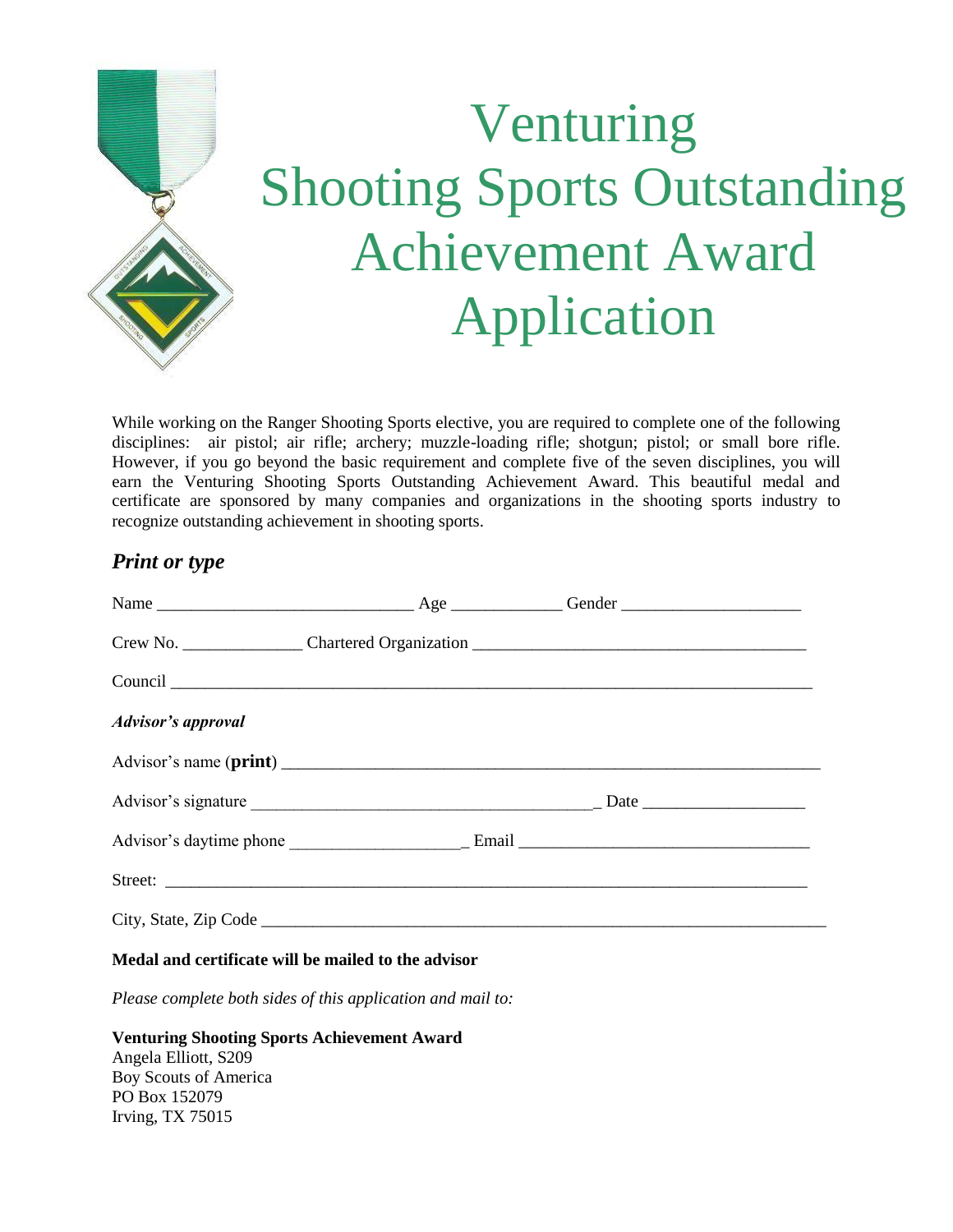

# Venturing Shooting Sports Outstanding Achievement Award Application

While working on the Ranger Shooting Sports elective, you are required to complete one of the following disciplines: air pistol; air rifle; archery; muzzle-loading rifle; shotgun; pistol; or small bore rifle. However, if you go beyond the basic requirement and complete five of the seven disciplines, you will earn the Venturing Shooting Sports Outstanding Achievement Award. This beautiful medal and certificate are sponsored by many companies and organizations in the shooting sports industry to recognize outstanding achievement in shooting sports.

### *Print or type*

| <b>Advisor's approval</b> |  |  |
|---------------------------|--|--|
|                           |  |  |
|                           |  |  |
|                           |  |  |
|                           |  |  |
|                           |  |  |

#### **Medal and certificate will be mailed to the advisor**

*Please complete both sides of this application and mail to:*

**Venturing Shooting Sports Achievement Award** Angela Elliott, S209 Boy Scouts of America PO Box 152079 Irving, TX 75015